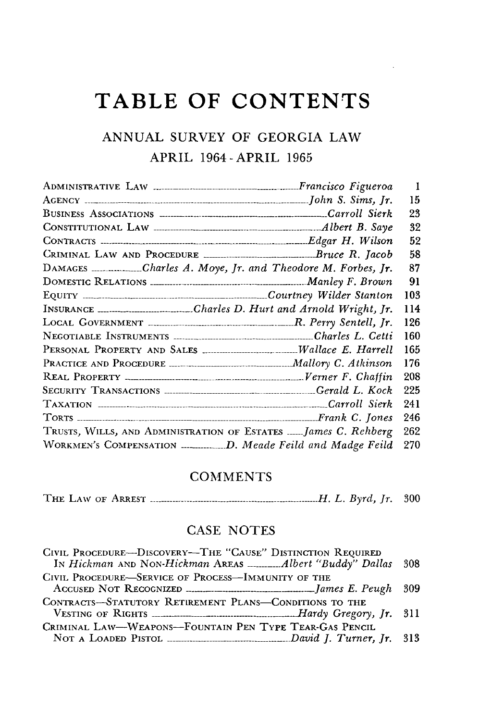## **TABLE OF CONTENTS**

 $\sim$   $\sim$ 

## **ANNUAL** SURVEY OF **GEORGIA** LAW APRIL 1964-APRIL **1965**

|                                                                                                                                          | 15   |  |
|------------------------------------------------------------------------------------------------------------------------------------------|------|--|
|                                                                                                                                          | 23   |  |
|                                                                                                                                          | 32   |  |
| CONTRACTS <b>CONTRACTS CONTRACTS CONTRACTS CONTRACTS CONTRACTS CONTRACTS CONTRACTS CONTRACTS CONTRACTS CONTRACTS CONTRACTS CONTRACTS</b> | 52   |  |
| CRIMINAL LAW AND PROCEDURE _____________________________Bruce R. Jacob                                                                   | 58   |  |
| DAMAGES ___________Charles A. Moye, Jr. and Theodore M. Forbes, Jr.                                                                      | 87   |  |
|                                                                                                                                          | 91   |  |
|                                                                                                                                          | 103  |  |
| INSURANCE ___________________Charles D. Hurt and Arnold Wright, Jr.                                                                      | 114  |  |
|                                                                                                                                          | 126  |  |
| NEGOTIABLE INSTRUMENTS <b>MALLER 1999</b> Charles L. Cetti                                                                               | 160  |  |
|                                                                                                                                          | 165  |  |
|                                                                                                                                          | -176 |  |
|                                                                                                                                          | 208  |  |
|                                                                                                                                          | -225 |  |
|                                                                                                                                          | 241  |  |
|                                                                                                                                          | 246  |  |
| TRUSTS, WILLS, AND ADMINISTRATION OF ESTATES  James C. Rehberg                                                                           | 262  |  |
| WORKMEN'S COMPENSATION _______________D. Meade Feild and Madge Feild                                                                     | 270  |  |
|                                                                                                                                          |      |  |

## **COMMENTS**

THE LAW OF ARREST *H. L. Byrd, Jr.* 300

## CASE NOTES

| CIVIL PROCEDURE-DISCOVERY-THE "CAUSE" DISTINCTION REQUIRED                      |  |
|---------------------------------------------------------------------------------|--|
| In Hickman AND NON-Hickman AREAS  Albert "Buddy" Dallas 308                     |  |
| CIVIL PROCEDURE-SERVICE OF PROCESS-IMMUNITY OF THE                              |  |
| ACCUSED NOT RECOGNIZED <b>MARGINERS</b> 1009                                    |  |
| CONTRACTS-STATUTORY RETIREMENT PLANS-CONDITIONS TO THE                          |  |
| VESTING OF RIGHTS <b>CONSUMING THE READER</b> Hardy Gregory, Jr. 311            |  |
| CRIMINAL LAW-WEAPONS-FOUNTAIN PEN TYPE TEAR-GAS PENCIL                          |  |
| NOT A LOADED PISTOL <b><i>IMPROVEMENTAL CAUGE David J. Turner</i></b> , Jr. 313 |  |